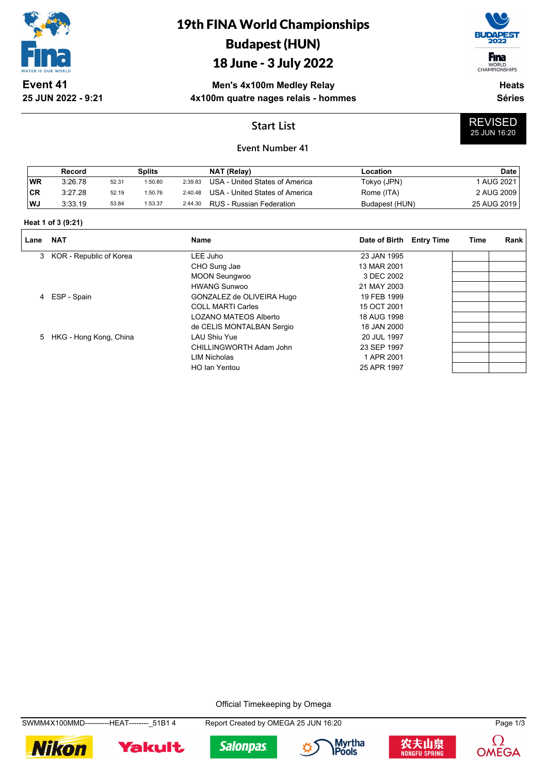

**25 JUN 2022 - 9:21**

# 19th FINA World Championships Budapest (HUN)

### 18 June - 3 July 2022

**F**ina

WORLD<br>CHAMPIONSHIPS

REVISED 25 JUN 16:20

**Men's 4x100m Medley Relay 4x100m quatre nages relais - hommes**

**Heats Séries**

### **Start List**



|           | Record  |       | Splits  |         | NAT (Relay)                    | Location       | Date        |
|-----------|---------|-------|---------|---------|--------------------------------|----------------|-------------|
| <b>WR</b> | 3:26.78 | 52.31 | 1:50.80 | 2:39.83 | USA - United States of America | Tokyo (JPN)    | 1 AUG 2021  |
| <b>CR</b> | 3:27.28 | 52.19 | 1:50.76 | 2:40.48 | USA - United States of America | Rome (ITA)     | 2 AUG 2009  |
| WJ        | 3:33.19 | 53.84 | 1:53.37 | 2:44.30 | RUS - Russian Federation       | Budapest (HUN) | 25 AUG 2019 |

#### **Heat 1 of 3 (9:21)**

| Lane | <b>NAT</b>                | <b>Name</b>               | Date of Birth Entry Time | Time | Rank |
|------|---------------------------|---------------------------|--------------------------|------|------|
|      | 3 KOR - Republic of Korea | LEE Juho                  | 23 JAN 1995              |      |      |
|      |                           | CHO Sung Jae              | 13 MAR 2001              |      |      |
|      |                           | <b>MOON Seungwoo</b>      | 3 DEC 2002               |      |      |
|      |                           | <b>HWANG Sunwoo</b>       | 21 MAY 2003              |      |      |
|      | 4 ESP - Spain             | GONZALEZ de OLIVEIRA Hugo | 19 FEB 1999              |      |      |
|      |                           | <b>COLL MARTI Carles</b>  | 15 OCT 2001              |      |      |
|      |                           | LOZANO MATEOS Alberto     | 18 AUG 1998              |      |      |
|      |                           | de CELIS MONTALBAN Sergio | 18 JAN 2000              |      |      |
|      | 5 HKG - Hong Kong, China  | <b>LAU Shiu Yue</b>       | 20 JUL 1997              |      |      |
|      |                           | CHILLINGWORTH Adam John   | 23 SEP 1997              |      |      |
|      |                           | LIM Nicholas              | 1 APR 2001               |      |      |
|      |                           | HO Ian Yentou             | 25 APR 1997              |      |      |

Official Timekeeping by Omega

SWMM4X100MMD----------HEAT--------\_51B1 4 Report Created by OMEGA 25 JUN 16:20 Page 1/3











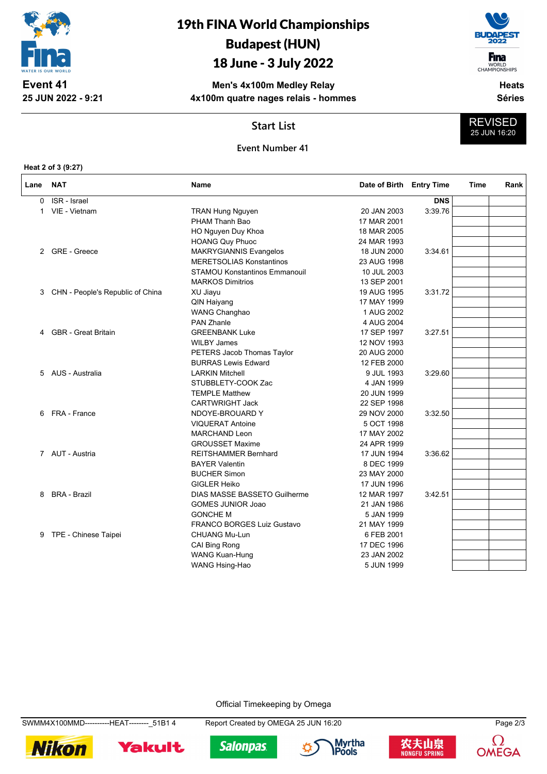

# 19th FINA World Championships Budapest (HUN)

## 18 June - 3 July 2022

**Men's 4x100m Medley Relay 4x100m quatre nages relais - hommes**



WORLD<br>CHAMPIONSHIPS **Heats**

REVISED 25 JUN 16:20

**Séries**

**Start List**

#### **Event Number 41**

**Heat 2 of 3 (9:27)**

**25 JUN 2022 - 9:21**

| Lane | <b>NAT</b>                       | Name                                 | Date of Birth Entry Time |            | Time | Rank |
|------|----------------------------------|--------------------------------------|--------------------------|------------|------|------|
| 0    | ISR - Israel                     |                                      |                          | <b>DNS</b> |      |      |
| 1    | VIE - Vietnam                    | <b>TRAN Hung Nguyen</b>              | 20 JAN 2003              | 3:39.76    |      |      |
|      |                                  | PHAM Thanh Bao                       | 17 MAR 2001              |            |      |      |
|      |                                  | HO Nguyen Duy Khoa                   | 18 MAR 2005              |            |      |      |
|      |                                  | <b>HOANG Quy Phuoc</b>               | 24 MAR 1993              |            |      |      |
| 2    | <b>GRE - Greece</b>              | <b>MAKRYGIANNIS Evangelos</b>        | 18 JUN 2000              | 3:34.61    |      |      |
|      |                                  | <b>MERETSOLIAS Konstantinos</b>      | 23 AUG 1998              |            |      |      |
|      |                                  | <b>STAMOU Konstantinos Emmanouil</b> | 10 JUL 2003              |            |      |      |
|      |                                  | <b>MARKOS Dimitrios</b>              | 13 SEP 2001              |            |      |      |
| 3    | CHN - People's Republic of China | XU Jiayu                             | 19 AUG 1995              | 3:31.72    |      |      |
|      |                                  | QIN Haiyang                          | 17 MAY 1999              |            |      |      |
|      |                                  | WANG Changhao                        | 1 AUG 2002               |            |      |      |
|      |                                  | <b>PAN Zhanle</b>                    | 4 AUG 2004               |            |      |      |
| 4    | <b>GBR</b> - Great Britain       | <b>GREENBANK Luke</b>                | 17 SEP 1997              | 3:27.51    |      |      |
|      |                                  | <b>WILBY James</b>                   | 12 NOV 1993              |            |      |      |
|      |                                  | PETERS Jacob Thomas Taylor           | 20 AUG 2000              |            |      |      |
|      |                                  | <b>BURRAS Lewis Edward</b>           | 12 FEB 2000              |            |      |      |
| 5    | AUS - Australia                  | <b>LARKIN Mitchell</b>               | 9 JUL 1993               | 3:29.60    |      |      |
|      |                                  | STUBBLETY-COOK Zac                   | 4 JAN 1999               |            |      |      |
|      |                                  | <b>TEMPLE Matthew</b>                | 20 JUN 1999              |            |      |      |
|      |                                  | <b>CARTWRIGHT Jack</b>               | 22 SEP 1998              |            |      |      |
| 6    | FRA - France                     | NDOYE-BROUARD Y                      | 29 NOV 2000              | 3:32.50    |      |      |
|      |                                  | <b>VIQUERAT Antoine</b>              | 5 OCT 1998               |            |      |      |
|      |                                  | <b>MARCHAND Leon</b>                 | 17 MAY 2002              |            |      |      |
|      |                                  | <b>GROUSSET Maxime</b>               | 24 APR 1999              |            |      |      |
|      | 7 AUT - Austria                  | <b>REITSHAMMER Bernhard</b>          | 17 JUN 1994              | 3:36.62    |      |      |
|      |                                  | <b>BAYER Valentin</b>                | 8 DEC 1999               |            |      |      |
|      |                                  | <b>BUCHER Simon</b>                  | 23 MAY 2000              |            |      |      |
|      |                                  | <b>GIGLER Heiko</b>                  | 17 JUN 1996              |            |      |      |
| 8    | <b>BRA - Brazil</b>              | <b>DIAS MASSE BASSETO Guilherme</b>  | 12 MAR 1997              | 3:42.51    |      |      |
|      |                                  | <b>GOMES JUNIOR Joao</b>             | 21 JAN 1986              |            |      |      |
|      |                                  | <b>GONCHE M</b>                      | 5 JAN 1999               |            |      |      |
|      |                                  | <b>FRANCO BORGES Luiz Gustavo</b>    | 21 MAY 1999              |            |      |      |
| 9    | TPE - Chinese Taipei             | <b>CHUANG Mu-Lun</b>                 | 6 FEB 2001               |            |      |      |
|      |                                  | CAI Bing Rong                        | 17 DEC 1996              |            |      |      |
|      |                                  | <b>WANG Kuan-Hung</b>                | 23 JAN 2002              |            |      |      |
|      |                                  | WANG Hsing-Hao                       | 5 JUN 1999               |            |      |      |

Official Timekeeping by Omega

SWMM4X100MMD----------HEAT--------\_51B1 4 Report Created by OMEGA 25 JUN 16:20 Page 2/3